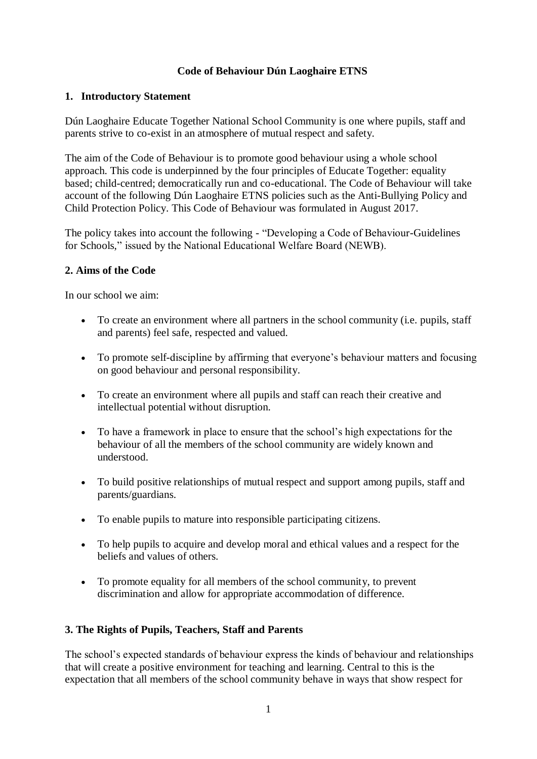## **Code of Behaviour Dún Laoghaire ETNS**

#### **1. Introductory Statement**

Dún Laoghaire Educate Together National School Community is one where pupils, staff and parents strive to co-exist in an atmosphere of mutual respect and safety.

The aim of the Code of Behaviour is to promote good behaviour using a whole school approach. This code is underpinned by the four principles of Educate Together: equality based; child-centred; democratically run and co-educational. The Code of Behaviour will take account of the following Dún Laoghaire ETNS policies such as the Anti-Bullying Policy and Child Protection Policy. This Code of Behaviour was formulated in August 2017.

The policy takes into account the following - "Developing a Code of Behaviour-Guidelines for Schools," issued by the National Educational Welfare Board (NEWB).

## **2. Aims of the Code**

In our school we aim:

- To create an environment where all partners in the school community (i.e. pupils, staff and parents) feel safe, respected and valued.
- To promote self-discipline by affirming that everyone's behaviour matters and focusing on good behaviour and personal responsibility.
- To create an environment where all pupils and staff can reach their creative and intellectual potential without disruption.
- To have a framework in place to ensure that the school's high expectations for the behaviour of all the members of the school community are widely known and understood.
- To build positive relationships of mutual respect and support among pupils, staff and parents/guardians.
- To enable pupils to mature into responsible participating citizens.
- To help pupils to acquire and develop moral and ethical values and a respect for the beliefs and values of others.
- To promote equality for all members of the school community, to prevent discrimination and allow for appropriate accommodation of difference.

## **3. The Rights of Pupils, Teachers, Staff and Parents**

The school's expected standards of behaviour express the kinds of behaviour and relationships that will create a positive environment for teaching and learning. Central to this is the expectation that all members of the school community behave in ways that show respect for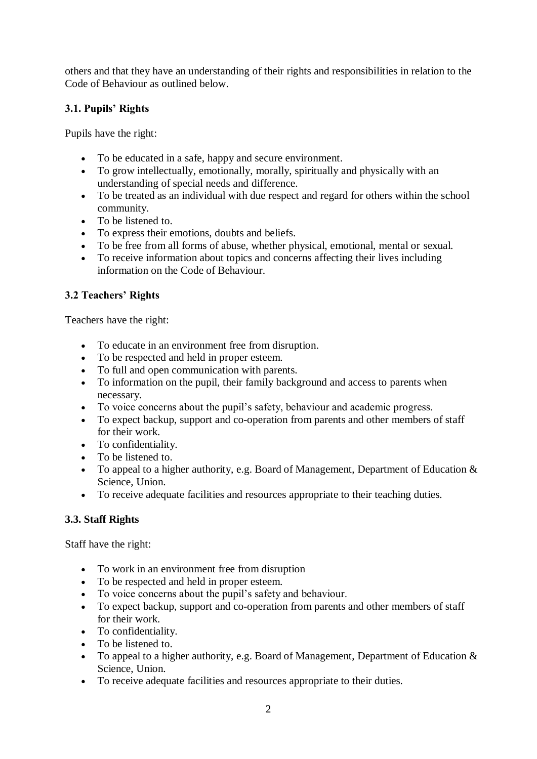others and that they have an understanding of their rights and responsibilities in relation to the Code of Behaviour as outlined below.

# **3.1. Pupils' Rights**

Pupils have the right:

- To be educated in a safe, happy and secure environment.
- To grow intellectually, emotionally, morally, spiritually and physically with an understanding of special needs and difference.
- To be treated as an individual with due respect and regard for others within the school community.
- To be listened to.
- To express their emotions, doubts and beliefs.
- To be free from all forms of abuse, whether physical, emotional, mental or sexual.
- To receive information about topics and concerns affecting their lives including information on the Code of Behaviour.

# **3.2 Teachers' Rights**

Teachers have the right:

- To educate in an environment free from disruption.
- To be respected and held in proper esteem.
- To full and open communication with parents.
- To information on the pupil, their family background and access to parents when necessary.
- To voice concerns about the pupil's safety, behaviour and academic progress.
- To expect backup, support and co-operation from parents and other members of staff for their work.
- To confidentiality.
- To be listened to.
- To appeal to a higher authority, e.g. Board of Management, Department of Education  $\&$ Science, Union.
- To receive adequate facilities and resources appropriate to their teaching duties.

# **3.3. Staff Rights**

Staff have the right:

- To work in an environment free from disruption
- To be respected and held in proper esteem.
- To voice concerns about the pupil's safety and behaviour.
- To expect backup, support and co-operation from parents and other members of staff for their work.
- To confidentiality.
- To be listened to.
- To appeal to a higher authority, e.g. Board of Management, Department of Education  $\&$ Science, Union.
- To receive adequate facilities and resources appropriate to their duties.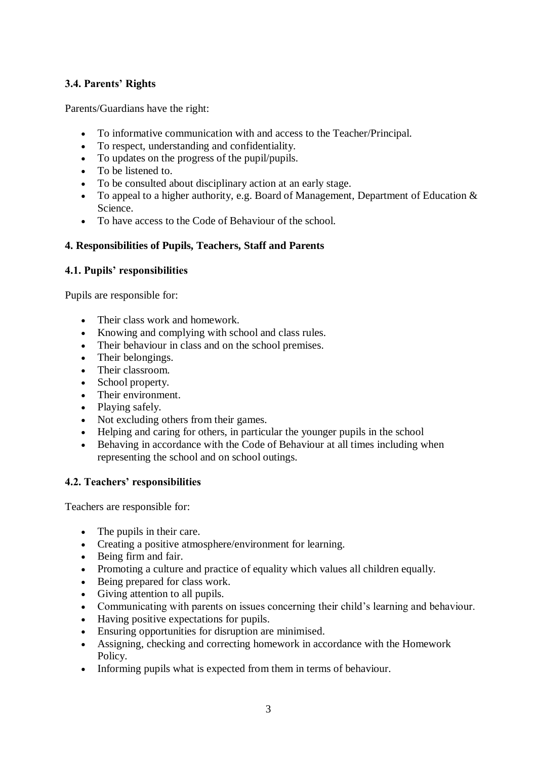# **3.4. Parents' Rights**

Parents/Guardians have the right:

- To informative communication with and access to the Teacher/Principal.
- To respect, understanding and confidentiality.
- To updates on the progress of the pupil/pupils.
- To be listened to.
- To be consulted about disciplinary action at an early stage.
- To appeal to a higher authority, e.g. Board of Management, Department of Education & Science.
- To have access to the Code of Behaviour of the school.

## **4. Responsibilities of Pupils, Teachers, Staff and Parents**

## **4.1. Pupils' responsibilities**

Pupils are responsible for:

- Their class work and homework.
- Knowing and complying with school and class rules.
- Their behaviour in class and on the school premises.
- Their belongings.
- Their classroom.
- School property.
- Their environment.
- Playing safely.
- Not excluding others from their games.
- Helping and caring for others, in particular the younger pupils in the school
- Behaving in accordance with the Code of Behaviour at all times including when representing the school and on school outings.

## **4.2. Teachers' responsibilities**

Teachers are responsible for:

- The pupils in their care.
- Creating a positive atmosphere/environment for learning.
- Being firm and fair.
- Promoting a culture and practice of equality which values all children equally.
- Being prepared for class work.
- Giving attention to all pupils.
- Communicating with parents on issues concerning their child's learning and behaviour.
- Having positive expectations for pupils.
- Ensuring opportunities for disruption are minimised.
- Assigning, checking and correcting homework in accordance with the Homework Policy.
- Informing pupils what is expected from them in terms of behaviour.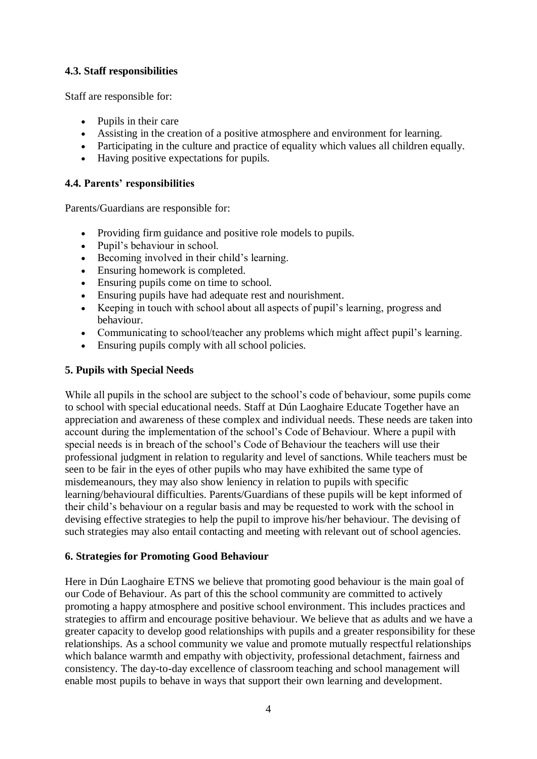# **4.3. Staff responsibilities**

Staff are responsible for:

- Pupils in their care
- Assisting in the creation of a positive atmosphere and environment for learning.
- Participating in the culture and practice of equality which values all children equally.
- Having positive expectations for pupils.

#### **4.4. Parents' responsibilities**

Parents/Guardians are responsible for:

- Providing firm guidance and positive role models to pupils.
- Pupil's behaviour in school.
- Becoming involved in their child's learning.
- Ensuring homework is completed.
- Ensuring pupils come on time to school.
- Ensuring pupils have had adequate rest and nourishment.
- Keeping in touch with school about all aspects of pupil's learning, progress and behaviour.
- Communicating to school/teacher any problems which might affect pupil's learning.
- Ensuring pupils comply with all school policies.

#### **5. Pupils with Special Needs**

While all pupils in the school are subject to the school's code of behaviour, some pupils come to school with special educational needs. Staff at Dún Laoghaire Educate Together have an appreciation and awareness of these complex and individual needs. These needs are taken into account during the implementation of the school's Code of Behaviour. Where a pupil with special needs is in breach of the school's Code of Behaviour the teachers will use their professional judgment in relation to regularity and level of sanctions. While teachers must be seen to be fair in the eyes of other pupils who may have exhibited the same type of misdemeanours, they may also show leniency in relation to pupils with specific learning/behavioural difficulties. Parents/Guardians of these pupils will be kept informed of their child's behaviour on a regular basis and may be requested to work with the school in devising effective strategies to help the pupil to improve his/her behaviour. The devising of such strategies may also entail contacting and meeting with relevant out of school agencies.

## **6. Strategies for Promoting Good Behaviour**

Here in Dún Laoghaire ETNS we believe that promoting good behaviour is the main goal of our Code of Behaviour. As part of this the school community are committed to actively promoting a happy atmosphere and positive school environment. This includes practices and strategies to affirm and encourage positive behaviour. We believe that as adults and we have a greater capacity to develop good relationships with pupils and a greater responsibility for these relationships. As a school community we value and promote mutually respectful relationships which balance warmth and empathy with objectivity, professional detachment, fairness and consistency. The day-to-day excellence of classroom teaching and school management will enable most pupils to behave in ways that support their own learning and development.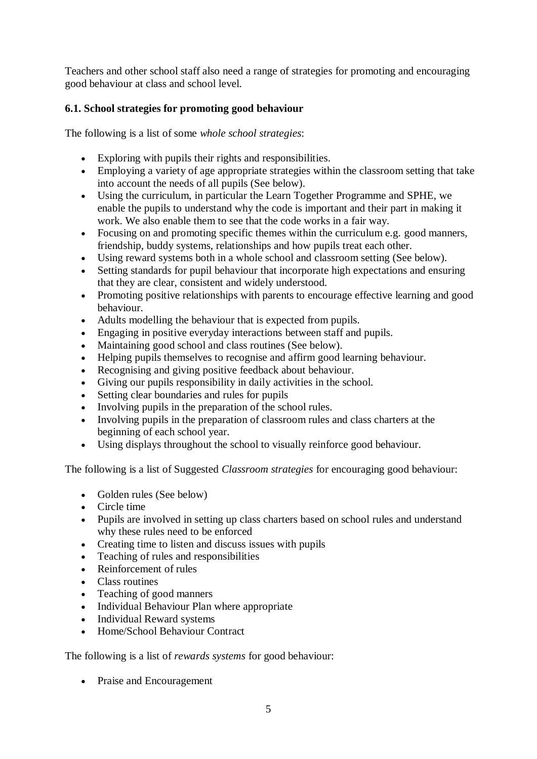Teachers and other school staff also need a range of strategies for promoting and encouraging good behaviour at class and school level.

# **6.1. School strategies for promoting good behaviour**

The following is a list of some *whole school strategies*:

- Exploring with pupils their rights and responsibilities.
- Employing a variety of age appropriate strategies within the classroom setting that take into account the needs of all pupils (See below).
- Using the curriculum, in particular the Learn Together Programme and SPHE, we enable the pupils to understand why the code is important and their part in making it work. We also enable them to see that the code works in a fair way.
- Focusing on and promoting specific themes within the curriculum e.g. good manners, friendship, buddy systems, relationships and how pupils treat each other.
- Using reward systems both in a whole school and classroom setting (See below).
- Setting standards for pupil behaviour that incorporate high expectations and ensuring that they are clear, consistent and widely understood.
- Promoting positive relationships with parents to encourage effective learning and good behaviour.
- Adults modelling the behaviour that is expected from pupils.
- Engaging in positive everyday interactions between staff and pupils.
- Maintaining good school and class routines (See below).
- Helping pupils themselves to recognise and affirm good learning behaviour.
- Recognising and giving positive feedback about behaviour.
- Giving our pupils responsibility in daily activities in the school.
- Setting clear boundaries and rules for pupils
- Involving pupils in the preparation of the school rules.
- Involving pupils in the preparation of classroom rules and class charters at the beginning of each school year.
- Using displays throughout the school to visually reinforce good behaviour.

The following is a list of Suggested *Classroom strategies* for encouraging good behaviour:

- Golden rules (See below)
- Circle time
- Pupils are involved in setting up class charters based on school rules and understand why these rules need to be enforced
- Creating time to listen and discuss issues with pupils
- Teaching of rules and responsibilities
- Reinforcement of rules
- Class routines
- Teaching of good manners
- Individual Behaviour Plan where appropriate
- Individual Reward systems
- Home/School Behaviour Contract

The following is a list of *rewards systems* for good behaviour:

• Praise and Encouragement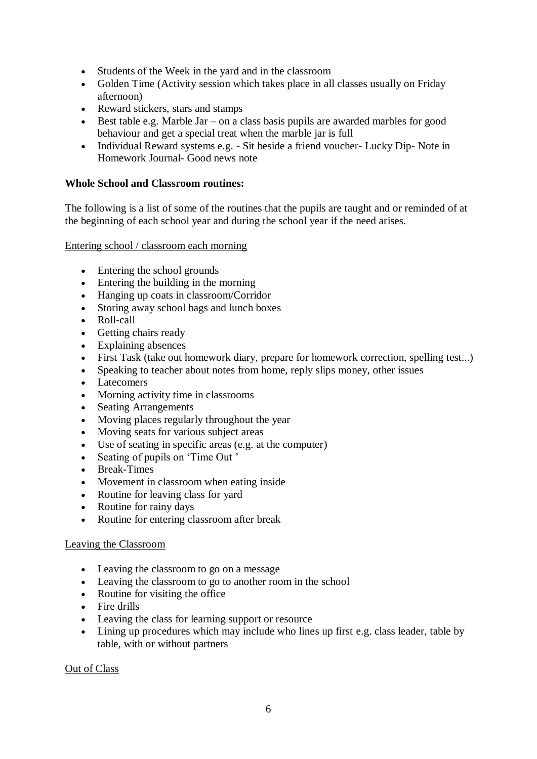- Students of the Week in the yard and in the classroom
- Golden Time (Activity session which takes place in all classes usually on Friday afternoon)
- Reward stickers, stars and stamps
- Best table e.g. Marble Jar on a class basis pupils are awarded marbles for good behaviour and get a special treat when the marble jar is full
- Individual Reward systems e.g. Sit beside a friend voucher- Lucky Dip- Note in Homework Journal- Good news note

## **Whole School and Classroom routines:**

The following is a list of some of the routines that the pupils are taught and or reminded of at the beginning of each school year and during the school year if the need arises.

#### Entering school / classroom each morning

- Entering the school grounds
- Entering the building in the morning
- Hanging up coats in classroom/Corridor
- Storing away school bags and lunch boxes
- Roll-call
- Getting chairs ready
- Explaining absences
- First Task (take out homework diary, prepare for homework correction, spelling test...)
- Speaking to teacher about notes from home, reply slips money, other issues
- Latecomers
- Morning activity time in classrooms
- Seating Arrangements
- Moving places regularly throughout the year
- Moving seats for various subject areas
- Use of seating in specific areas (e.g. at the computer)
- Seating of pupils on 'Time Out '
- Break-Times
- Movement in classroom when eating inside
- Routine for leaving class for yard
- Routine for rainy days
- Routine for entering classroom after break

#### Leaving the Classroom

- Leaving the classroom to go on a message
- Leaving the classroom to go to another room in the school
- Routine for visiting the office
- Fire drills
- Leaving the class for learning support or resource
- Lining up procedures which may include who lines up first e.g. class leader, table by table, with or without partners

#### Out of Class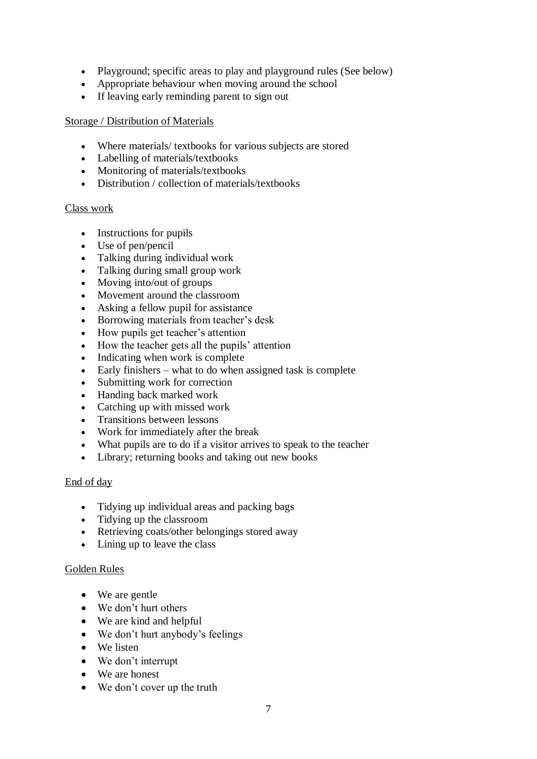- Playground; specific areas to play and playground rules (See below)
- Appropriate behaviour when moving around the school
- If leaving early reminding parent to sign out

#### Storage / Distribution of Materials

- Where materials/ textbooks for various subjects are stored
- Labelling of materials/textbooks
- Monitoring of materials/textbooks
- Distribution / collection of materials/textbooks

#### Class work

- Instructions for pupils
- Use of pen/pencil
- Talking during individual work
- Talking during small group work
- Moving into/out of groups
- Movement around the classroom
- Asking a fellow pupil for assistance
- Borrowing materials from teacher's desk
- How pupils get teacher's attention
- How the teacher gets all the pupils' attention
- Indicating when work is complete
- Early finishers what to do when assigned task is complete
- Submitting work for correction
- Handing back marked work
- Catching up with missed work
- Transitions between lessons
- Work for immediately after the break
- What pupils are to do if a visitor arrives to speak to the teacher
- Library; returning books and taking out new books

#### End of day

- Tidying up individual areas and packing bags
- Tidying up the classroom
- Retrieving coats/other belongings stored away
- Lining up to leave the class

#### Golden Rules

- We are gentle
- We don't hurt others
- We are kind and helpful
- We don't hurt anybody's feelings
- We listen
- We don't interrupt
- We are honest
- We don't cover up the truth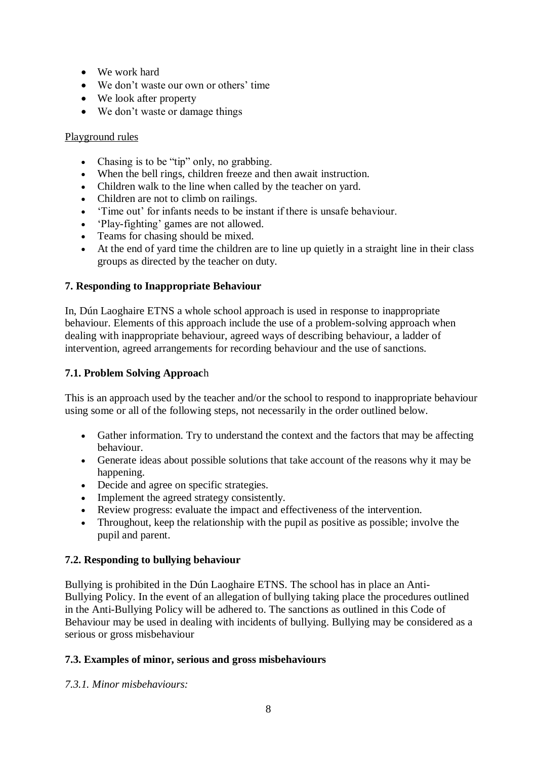- We work hard
- We don't waste our own or others' time
- We look after property
- We don't waste or damage things

#### Playground rules

- Chasing is to be "tip" only, no grabbing.
- When the bell rings, children freeze and then await instruction.
- Children walk to the line when called by the teacher on yard.
- Children are not to climb on railings.
- 'Time out' for infants needs to be instant if there is unsafe behaviour.
- 'Play-fighting' games are not allowed.
- Teams for chasing should be mixed.
- At the end of yard time the children are to line up quietly in a straight line in their class groups as directed by the teacher on duty.

## **7. Responding to Inappropriate Behaviour**

In, Dún Laoghaire ETNS a whole school approach is used in response to inappropriate behaviour. Elements of this approach include the use of a problem-solving approach when dealing with inappropriate behaviour, agreed ways of describing behaviour, a ladder of intervention, agreed arrangements for recording behaviour and the use of sanctions.

## **7.1. Problem Solving Approac**h

This is an approach used by the teacher and/or the school to respond to inappropriate behaviour using some or all of the following steps, not necessarily in the order outlined below.

- Gather information. Try to understand the context and the factors that may be affecting behaviour.
- Generate ideas about possible solutions that take account of the reasons why it may be happening.
- Decide and agree on specific strategies.
- Implement the agreed strategy consistently.
- Review progress: evaluate the impact and effectiveness of the intervention.
- Throughout, keep the relationship with the pupil as positive as possible; involve the pupil and parent.

## **7.2. Responding to bullying behaviour**

Bullying is prohibited in the Dún Laoghaire ETNS. The school has in place an Anti-Bullying Policy. In the event of an allegation of bullying taking place the procedures outlined in the Anti-Bullying Policy will be adhered to. The sanctions as outlined in this Code of Behaviour may be used in dealing with incidents of bullying. Bullying may be considered as a serious or gross misbehaviour

## **7.3. Examples of minor, serious and gross misbehaviours**

*7.3.1. Minor misbehaviours:*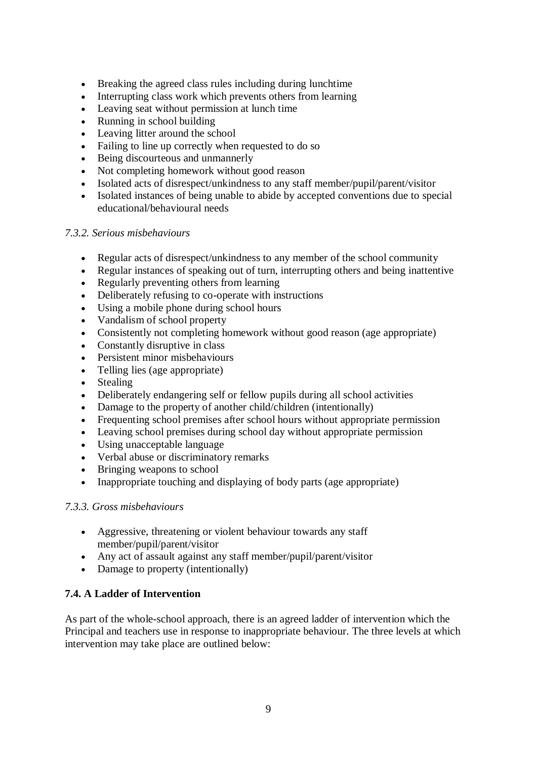- Breaking the agreed class rules including during lunchtime
- Interrupting class work which prevents others from learning
- Leaving seat without permission at lunch time
- Running in school building
- Leaving litter around the school
- Failing to line up correctly when requested to do so
- Being discourteous and unmannerly
- Not completing homework without good reason
- Isolated acts of disrespect/unkindness to any staff member/pupil/parent/visitor
- Isolated instances of being unable to abide by accepted conventions due to special educational/behavioural needs

#### *7.3.2. Serious misbehaviours*

- Regular acts of disrespect/unkindness to any member of the school community
- Regular instances of speaking out of turn, interrupting others and being inattentive
- Regularly preventing others from learning
- Deliberately refusing to co-operate with instructions
- Using a mobile phone during school hours
- Vandalism of school property
- Consistently not completing homework without good reason (age appropriate)
- Constantly disruptive in class
- Persistent minor misbehaviours
- Telling lies (age appropriate)
- Stealing
- Deliberately endangering self or fellow pupils during all school activities
- Damage to the property of another child/children (intentionally)
- Frequenting school premises after school hours without appropriate permission
- Leaving school premises during school day without appropriate permission
- Using unacceptable language
- Verbal abuse or discriminatory remarks
- Bringing weapons to school
- Inappropriate touching and displaying of body parts (age appropriate)

#### *7.3.3. Gross misbehaviours*

- Aggressive, threatening or violent behaviour towards any staff member/pupil/parent/visitor
- Any act of assault against any staff member/pupil/parent/visitor
- Damage to property (intentionally)

## **7.4. A Ladder of Intervention**

As part of the whole-school approach, there is an agreed ladder of intervention which the Principal and teachers use in response to inappropriate behaviour. The three levels at which intervention may take place are outlined below: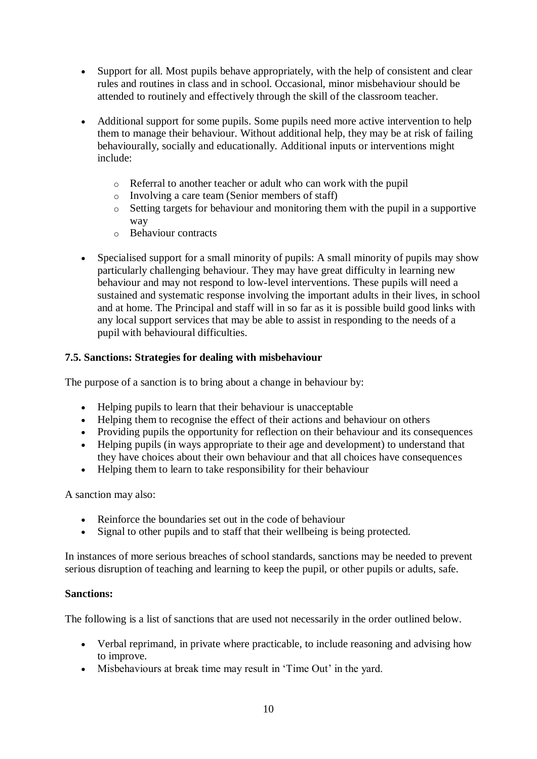- Support for all. Most pupils behave appropriately, with the help of consistent and clear rules and routines in class and in school. Occasional, minor misbehaviour should be attended to routinely and effectively through the skill of the classroom teacher.
- Additional support for some pupils. Some pupils need more active intervention to help them to manage their behaviour. Without additional help, they may be at risk of failing behaviourally, socially and educationally. Additional inputs or interventions might include:
	- o Referral to another teacher or adult who can work with the pupil
	- o Involving a care team (Senior members of staff)
	- o Setting targets for behaviour and monitoring them with the pupil in a supportive way
	- o Behaviour contracts
- Specialised support for a small minority of pupils: A small minority of pupils may show particularly challenging behaviour. They may have great difficulty in learning new behaviour and may not respond to low-level interventions. These pupils will need a sustained and systematic response involving the important adults in their lives, in school and at home. The Principal and staff will in so far as it is possible build good links with any local support services that may be able to assist in responding to the needs of a pupil with behavioural difficulties.

## **7.5. Sanctions: Strategies for dealing with misbehaviour**

The purpose of a sanction is to bring about a change in behaviour by:

- Helping pupils to learn that their behaviour is unacceptable
- Helping them to recognise the effect of their actions and behaviour on others
- Providing pupils the opportunity for reflection on their behaviour and its consequences
- Helping pupils (in ways appropriate to their age and development) to understand that they have choices about their own behaviour and that all choices have consequences
- Helping them to learn to take responsibility for their behaviour

A sanction may also:

- Reinforce the boundaries set out in the code of behaviour
- Signal to other pupils and to staff that their wellbeing is being protected.

In instances of more serious breaches of school standards, sanctions may be needed to prevent serious disruption of teaching and learning to keep the pupil, or other pupils or adults, safe.

#### **Sanctions:**

The following is a list of sanctions that are used not necessarily in the order outlined below.

- Verbal reprimand, in private where practicable, to include reasoning and advising how to improve.
- Misbehaviours at break time may result in 'Time Out' in the yard.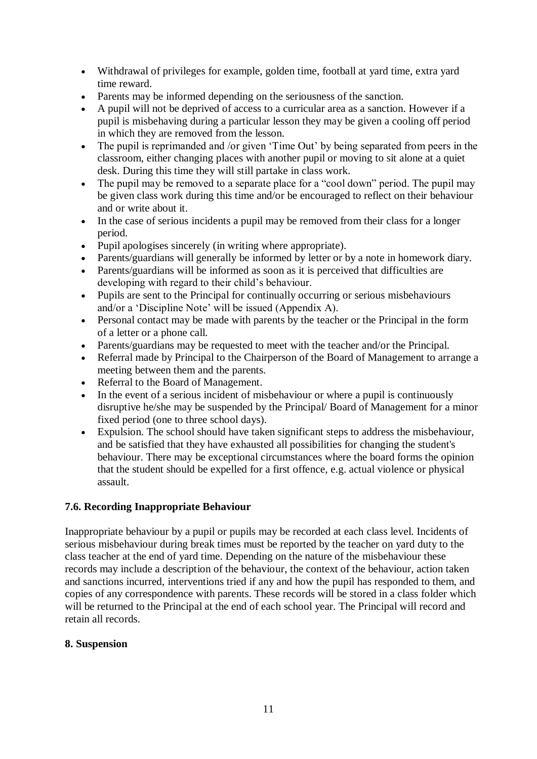- Withdrawal of privileges for example, golden time, football at yard time, extra yard time reward.
- Parents may be informed depending on the seriousness of the sanction.
- A pupil will not be deprived of access to a curricular area as a sanction. However if a pupil is misbehaving during a particular lesson they may be given a cooling off period in which they are removed from the lesson.
- The pupil is reprimanded and /or given 'Time Out' by being separated from peers in the classroom, either changing places with another pupil or moving to sit alone at a quiet desk. During this time they will still partake in class work.
- The pupil may be removed to a separate place for a "cool down" period. The pupil may be given class work during this time and/or be encouraged to reflect on their behaviour and or write about it.
- In the case of serious incidents a pupil may be removed from their class for a longer period.
- Pupil apologises sincerely (in writing where appropriate).
- Parents/guardians will generally be informed by letter or by a note in homework diary.
- Parents/guardians will be informed as soon as it is perceived that difficulties are developing with regard to their child's behaviour.
- Pupils are sent to the Principal for continually occurring or serious misbehaviours and/or a 'Discipline Note' will be issued (Appendix A).
- Personal contact may be made with parents by the teacher or the Principal in the form of a letter or a phone call.
- Parents/guardians may be requested to meet with the teacher and/or the Principal.
- Referral made by Principal to the Chairperson of the Board of Management to arrange a meeting between them and the parents.
- Referral to the Board of Management.
- In the event of a serious incident of misbehaviour or where a pupil is continuously disruptive he/she may be suspended by the Principal/ Board of Management for a minor fixed period (one to three school days).
- Expulsion. The school should have taken significant steps to address the misbehaviour, and be satisfied that they have exhausted all possibilities for changing the student's behaviour. There may be exceptional circumstances where the board forms the opinion that the student should be expelled for a first offence, e.g. actual violence or physical assault.

## **7.6. Recording Inappropriate Behaviour**

Inappropriate behaviour by a pupil or pupils may be recorded at each class level. Incidents of serious misbehaviour during break times must be reported by the teacher on yard duty to the class teacher at the end of yard time. Depending on the nature of the misbehaviour these records may include a description of the behaviour, the context of the behaviour, action taken and sanctions incurred, interventions tried if any and how the pupil has responded to them, and copies of any correspondence with parents. These records will be stored in a class folder which will be returned to the Principal at the end of each school year. The Principal will record and retain all records.

## **8. Suspension**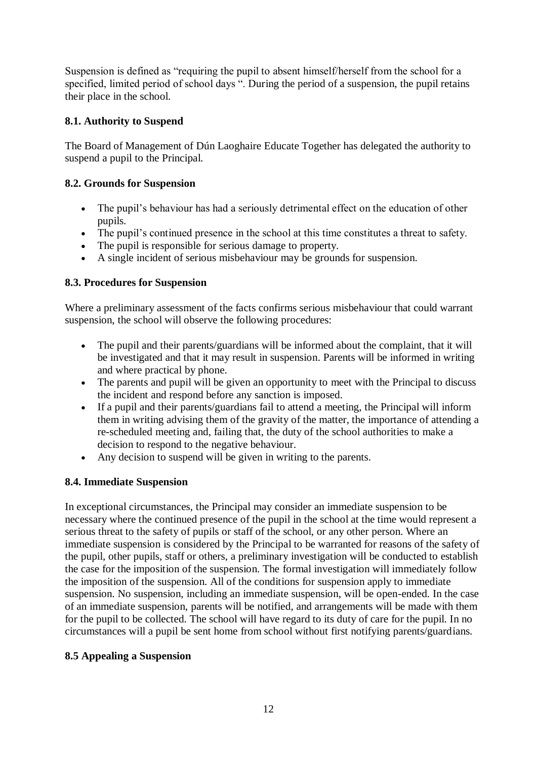Suspension is defined as "requiring the pupil to absent himself/herself from the school for a specified, limited period of school days ". During the period of a suspension, the pupil retains their place in the school.

# **8.1. Authority to Suspend**

The Board of Management of Dún Laoghaire Educate Together has delegated the authority to suspend a pupil to the Principal.

# **8.2. Grounds for Suspension**

- The pupil's behaviour has had a seriously detrimental effect on the education of other pupils.
- The pupil's continued presence in the school at this time constitutes a threat to safety.
- The pupil is responsible for serious damage to property.
- A single incident of serious misbehaviour may be grounds for suspension.

## **8.3. Procedures for Suspension**

Where a preliminary assessment of the facts confirms serious misbehaviour that could warrant suspension, the school will observe the following procedures:

- The pupil and their parents/guardians will be informed about the complaint, that it will be investigated and that it may result in suspension. Parents will be informed in writing and where practical by phone.
- The parents and pupil will be given an opportunity to meet with the Principal to discuss the incident and respond before any sanction is imposed.
- If a pupil and their parents/guardians fail to attend a meeting, the Principal will inform them in writing advising them of the gravity of the matter, the importance of attending a re-scheduled meeting and, failing that, the duty of the school authorities to make a decision to respond to the negative behaviour.
- Any decision to suspend will be given in writing to the parents.

## **8.4. Immediate Suspension**

In exceptional circumstances, the Principal may consider an immediate suspension to be necessary where the continued presence of the pupil in the school at the time would represent a serious threat to the safety of pupils or staff of the school, or any other person. Where an immediate suspension is considered by the Principal to be warranted for reasons of the safety of the pupil, other pupils, staff or others, a preliminary investigation will be conducted to establish the case for the imposition of the suspension. The formal investigation will immediately follow the imposition of the suspension. All of the conditions for suspension apply to immediate suspension. No suspension, including an immediate suspension, will be open-ended. In the case of an immediate suspension, parents will be notified, and arrangements will be made with them for the pupil to be collected. The school will have regard to its duty of care for the pupil. In no circumstances will a pupil be sent home from school without first notifying parents/guardians.

# **8.5 Appealing a Suspension**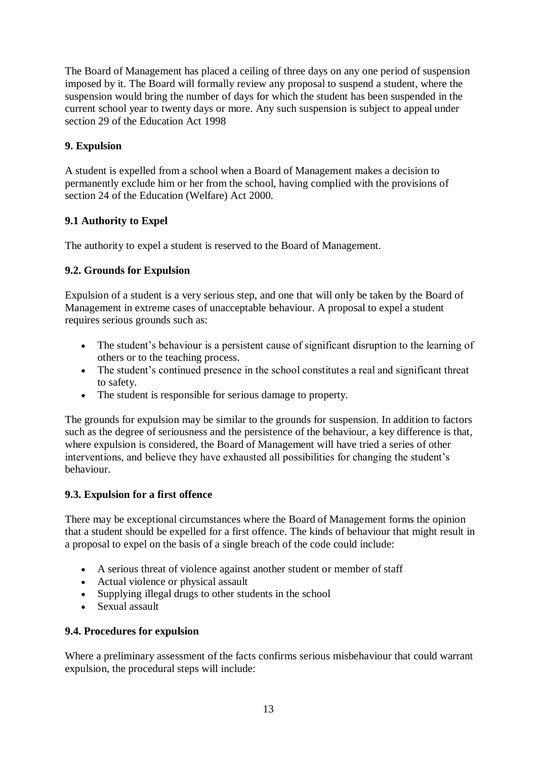The Board of Management has placed a ceiling of three days on any one period of suspension imposed by it. The Board will formally review any proposal to suspend a student, where the suspension would bring the number of days for which the student has been suspended in the current school year to twenty days or more. Any such suspension is subject to appeal under section 29 of the Education Act 1998

# **9. Expulsion**

A student is expelled from a school when a Board of Management makes a decision to permanently exclude him or her from the school, having complied with the provisions of section 24 of the Education (Welfare) Act 2000.

# **9.1 Authority to Expel**

The authority to expel a student is reserved to the Board of Management.

# **9.2. Grounds for Expulsion**

Expulsion of a student is a very serious step, and one that will only be taken by the Board of Management in extreme cases of unacceptable behaviour. A proposal to expel a student requires serious grounds such as:

- The student's behaviour is a persistent cause of significant disruption to the learning of others or to the teaching process.
- The student's continued presence in the school constitutes a real and significant threat to safety.
- The student is responsible for serious damage to property.

The grounds for expulsion may be similar to the grounds for suspension. In addition to factors such as the degree of seriousness and the persistence of the behaviour, a key difference is that, where expulsion is considered, the Board of Management will have tried a series of other interventions, and believe they have exhausted all possibilities for changing the student's behaviour.

## **9.3. Expulsion for a first offence**

There may be exceptional circumstances where the Board of Management forms the opinion that a student should be expelled for a first offence. The kinds of behaviour that might result in a proposal to expel on the basis of a single breach of the code could include:

- A serious threat of violence against another student or member of staff
- Actual violence or physical assault
- Supplying illegal drugs to other students in the school
- Sexual assault

## **9.4. Procedures for expulsion**

Where a preliminary assessment of the facts confirms serious misbehaviour that could warrant expulsion, the procedural steps will include: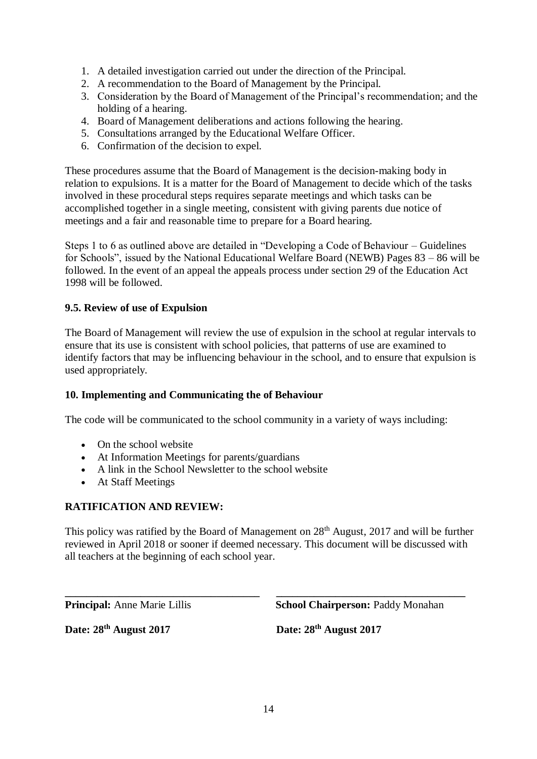- 1. A detailed investigation carried out under the direction of the Principal.
- 2. A recommendation to the Board of Management by the Principal.
- 3. Consideration by the Board of Management of the Principal's recommendation; and the holding of a hearing.
- 4. Board of Management deliberations and actions following the hearing.
- 5. Consultations arranged by the Educational Welfare Officer.
- 6. Confirmation of the decision to expel.

These procedures assume that the Board of Management is the decision-making body in relation to expulsions. It is a matter for the Board of Management to decide which of the tasks involved in these procedural steps requires separate meetings and which tasks can be accomplished together in a single meeting, consistent with giving parents due notice of meetings and a fair and reasonable time to prepare for a Board hearing.

Steps 1 to 6 as outlined above are detailed in "Developing a Code of Behaviour – Guidelines for Schools", issued by the National Educational Welfare Board (NEWB) Pages 83 – 86 will be followed. In the event of an appeal the appeals process under section 29 of the Education Act 1998 will be followed.

# **9.5. Review of use of Expulsion**

The Board of Management will review the use of expulsion in the school at regular intervals to ensure that its use is consistent with school policies, that patterns of use are examined to identify factors that may be influencing behaviour in the school, and to ensure that expulsion is used appropriately.

## **10. Implementing and Communicating the of Behaviour**

The code will be communicated to the school community in a variety of ways including:

- On the school website
- At Information Meetings for parents/guardians
- A link in the School Newsletter to the school website
- At Staff Meetings

# **RATIFICATION AND REVIEW:**

This policy was ratified by the Board of Management on  $28<sup>th</sup>$  August, 2017 and will be further reviewed in April 2018 or sooner if deemed necessary. This document will be discussed with all teachers at the beginning of each school year.

**\_\_\_\_\_\_\_\_\_\_\_\_\_\_\_\_\_\_\_\_\_\_\_\_\_\_\_\_\_\_\_\_\_\_\_\_ \_\_\_\_\_\_\_\_\_\_\_\_\_\_\_\_\_\_\_\_\_\_\_\_\_\_\_\_\_\_\_\_\_\_\_ Principal:** Anne Marie Lillis School Chairperson: Paddy Monahan

**Date: 28th August 2017 Date: 28th August 2017**